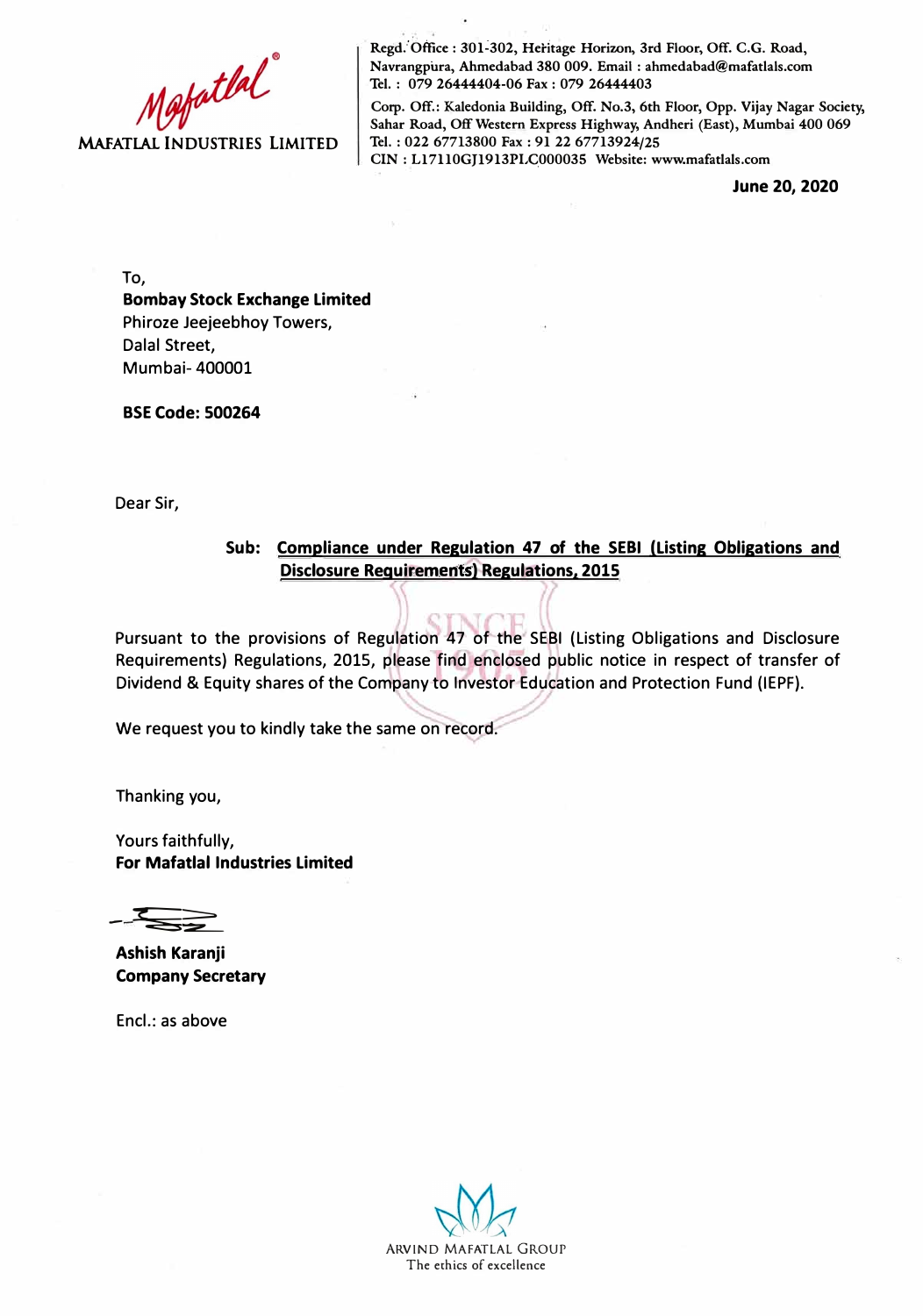

Regd. Office : 301-302, Heritage Horizon, 3rd Floor, Off. C.G. Road, **Navrangp'ura, Ahmedabad 380 009. Email: ahmedabad@mafatlals.com Tel. : 079 26444404-06 Fax : 079 26444403** 

**Corp. Off.: Kalcdonia Building, Off. No.3, 6th Floor, Opp. Vijay Nagar Society, Sahar Road, Off Western Express Highway, Andheri (East), Mumbai 400 069 Tel. : 022 67713800 Fax: 91 22 67713924/25** 

**CIN: Ll7110GJ1913PI,G000035 Website: www.mafatlals.com** 

**June 20, 2020** 

To,

### **Bombay Stock Exchange Limited**  Phiroze Jeejeebhoy Towers, Dalal Street, Mumbai- 400001

**BSE Code: 500264** 

Dear Sir,

#### **Sub: Compliance under Regulation 47 of the SEBI (Listing Obligations and Disclosure Requirements) Regulations. 2015**

Pursuant to the provisions of Regulation 47 of the SEBI (Listing Obligations and Disclosure Requirements) Regulations, 2015, please find enclosed public notice in respect of transfer of Dividend & Equity shares of the Company to Investor Education and Protection Fund (IEPF).

We request you to kindly take the same on record.

Thanking you,

Yours faithfully, **For Mafatlal Industries Limited** 

- *:t:;;:* £\_\_

**Ashish Karanji Company Secretary** 

Encl.: as above

ARVIND MAFATLAL GROUP The ethics of excellence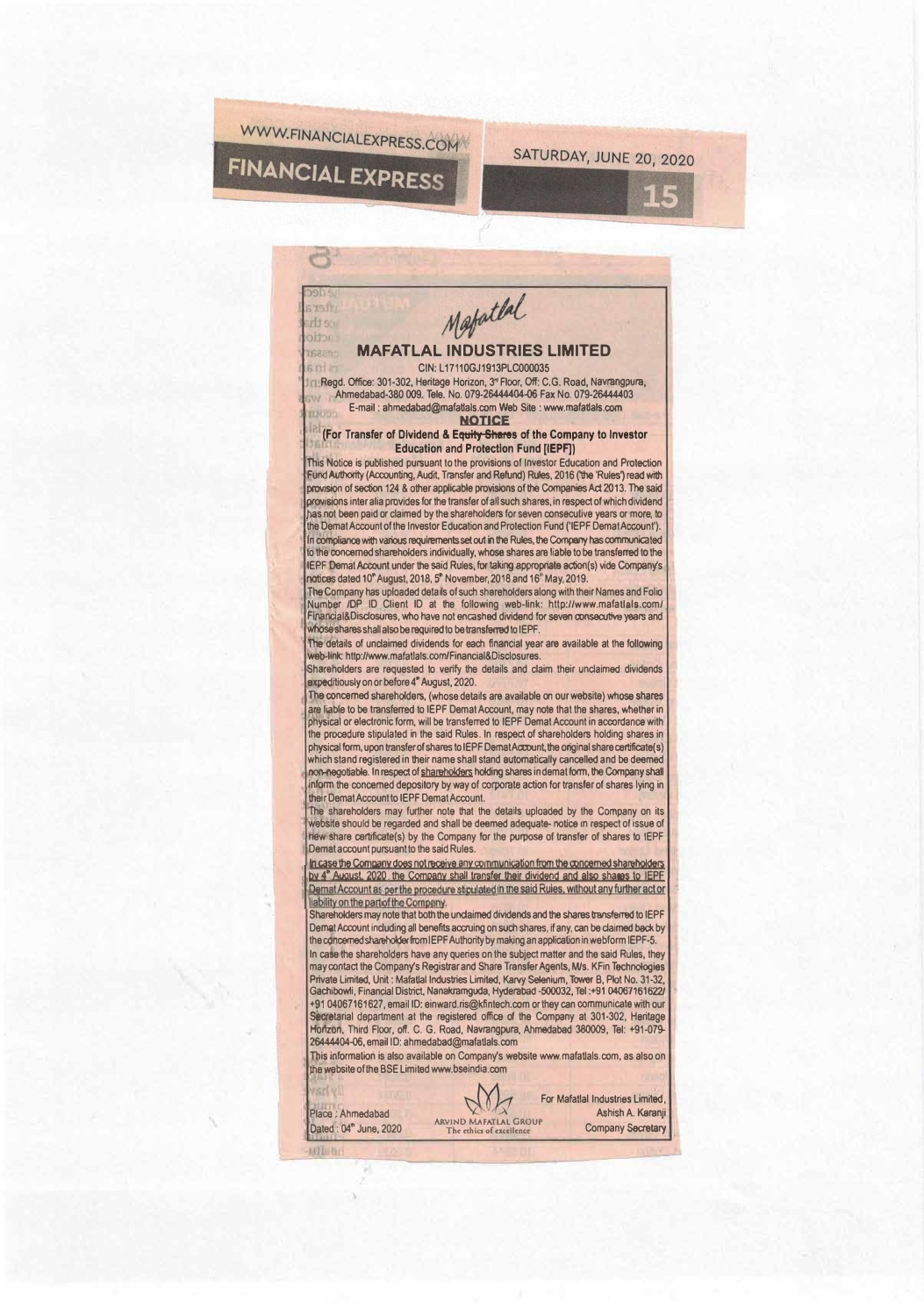

## **FINANCIAL EXPRESS**